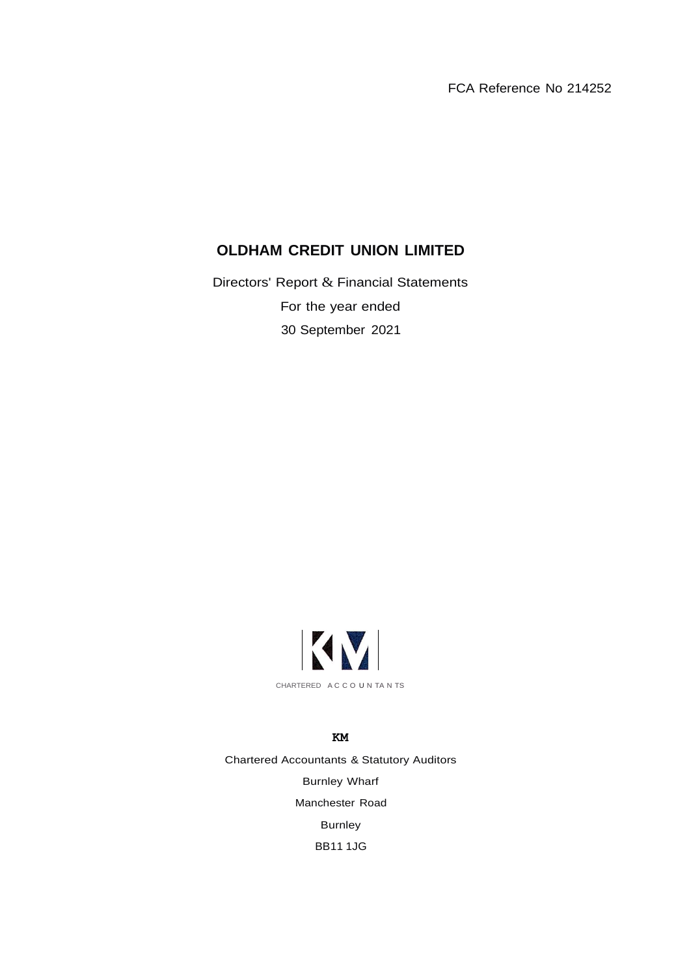FCA Reference No 214252

# **OLDHAM CREDIT UNION LIMITED**

Directors' Report & Financial Statements For the year ended 30 September 2021



**KM** Chartered Accountants & Statutory Auditors Burnley Wharf Manchester Road Burnley BB11 1JG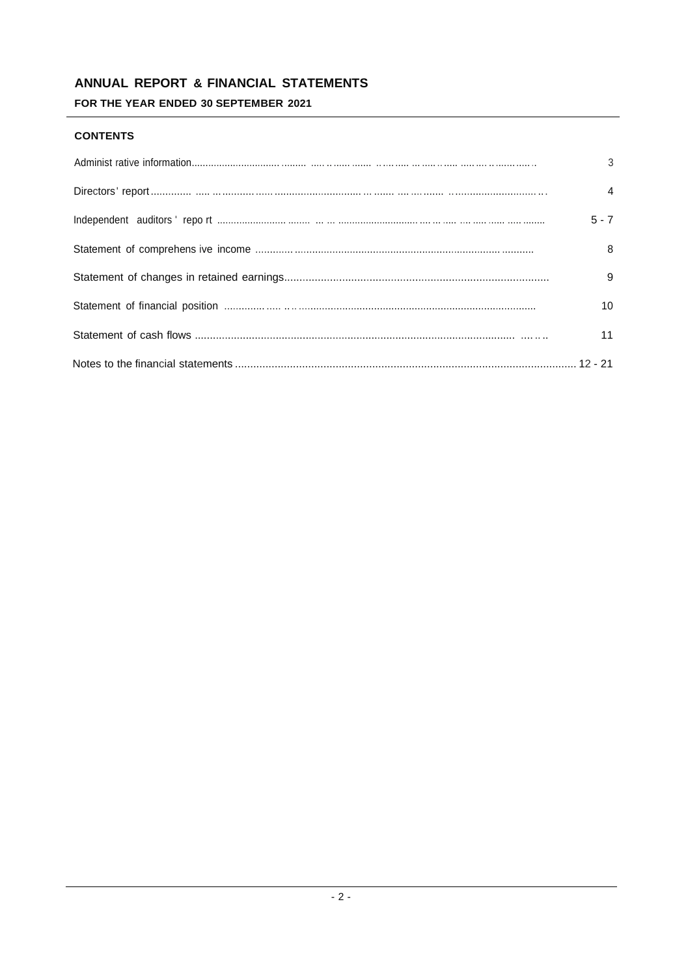# ANNUAL REPORT & FINANCIAL STATEMENTS

FOR THE YEAR ENDED 30 SEPTEMBER 2021

## **CONTENTS**

| 3               |
|-----------------|
| $\overline{4}$  |
| $5 - 7$         |
| 8               |
| 9               |
| 10 <sup>1</sup> |
| 11              |
|                 |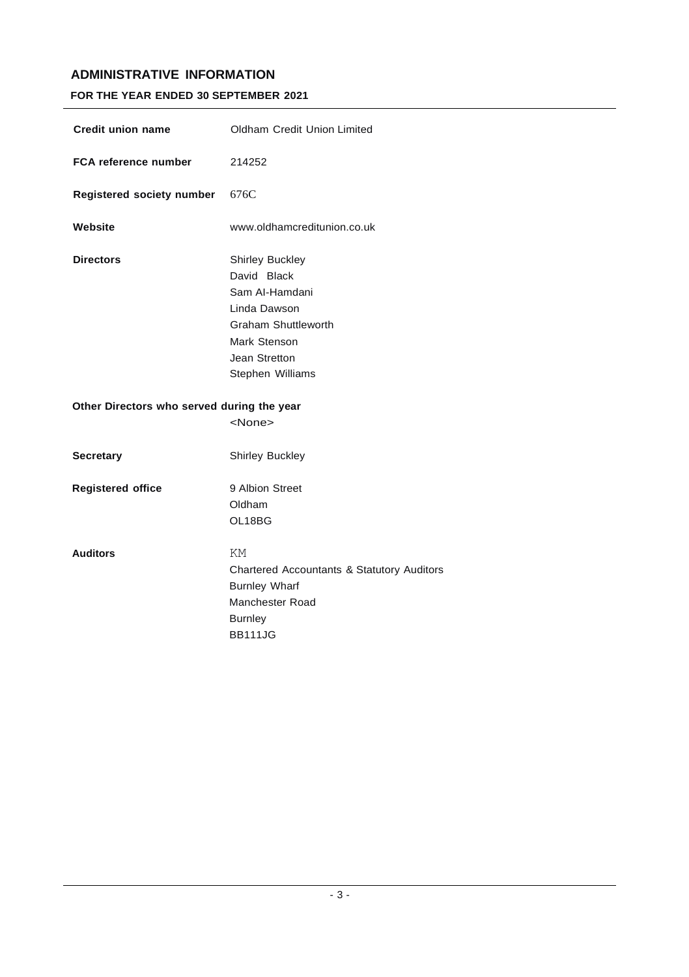# **ADMINISTRATIVE INFORMATION**

## **FOR THE YEAR ENDED 30 SEPTEMBER 2021**

| <b>Credit union name</b>                   | Oldham Credit Union Limited                                                                                                                                |
|--------------------------------------------|------------------------------------------------------------------------------------------------------------------------------------------------------------|
| FCA reference number                       | 214252                                                                                                                                                     |
| Registered society number                  | 676C                                                                                                                                                       |
| Website                                    | www.oldhamcreditunion.co.uk                                                                                                                                |
| <b>Directors</b>                           | <b>Shirley Buckley</b><br>David Black<br>Sam Al-Hamdani<br>Linda Dawson<br><b>Graham Shuttleworth</b><br>Mark Stenson<br>Jean Stretton<br>Stephen Williams |
| Other Directors who served during the year | <none></none>                                                                                                                                              |
| <b>Secretary</b>                           | <b>Shirley Buckley</b>                                                                                                                                     |
| <b>Registered office</b>                   | 9 Albion Street<br>Oldham<br>OL18BG                                                                                                                        |
| <b>Auditors</b>                            | ΚM<br>Chartered Accountants & Statutory Auditors<br><b>Burnley Wharf</b><br>Manchester Road<br><b>Burnley</b><br><b>BB111JG</b>                            |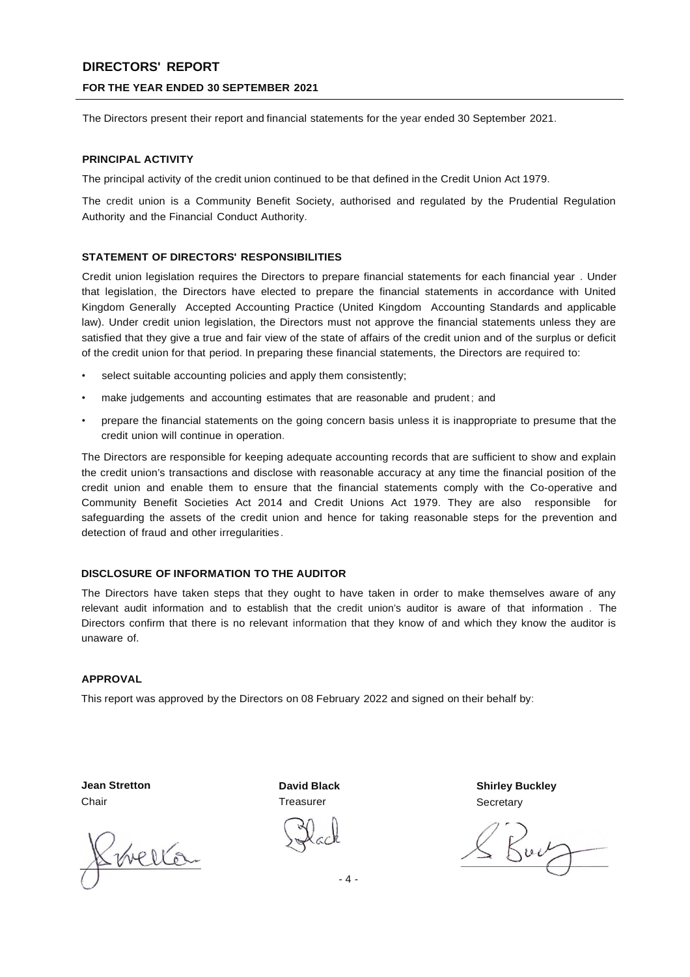# **DIRECTORS' REPORT**

### **FOR THE YEAR ENDED 30 SEPTEMBER 2021**

The Directors present their report and financial statements for the year ended 30 September 2021.

### **PRINCIPAL ACTIVITY**

The principal activity of the credit union continued to be that defined in the Credit Union Act 1979.

The credit union is a Community Benefit Society, authorised and regulated by the Prudential Regulation Authority and the Financial Conduct Authority.

#### **STATEMENT OF DIRECTORS' RESPONSIBILITIES**

Credit union legislation requires the Directors to prepare financial statements for each financial year . Under that legislation, the Directors have elected to prepare the financial statements in accordance with United Kingdom Generally Accepted Accounting Practice (United Kingdom Accounting Standards and applicable law). Under credit union legislation, the Directors must not approve the financial statements unless they are satisfied that they give a true and fair view of the state of affairs of the credit union and of the surplus or deficit of the credit union for that period. In preparing these financial statements, the Directors are required to:

- select suitable accounting policies and apply them consistently;
- make judgements and accounting estimates that are reasonable and prudent ; and
- prepare the financial statements on the going concern basis unless it is inappropriate to presume that the credit union will continue in operation.

The Directors are responsible for keeping adequate accounting records that are sufficient to show and explain the credit union's transactions and disclose with reasonable accuracy at any time the financial position of the credit union and enable them to ensure that the financial statements comply with the Co-operative and Community Benefit Societies Act 2014 and Credit Unions Act 1979. They are also responsible for safeguarding the assets of the credit union and hence for taking reasonable steps for the prevention and detection of fraud and other irregularities.

### **DISCLOSURE OF INFORMATION TO THE AUDITOR**

The Directors have taken steps that they ought to have taken in order to make themselves aware of any relevant audit information and to establish that the credit union's auditor is aware of that information . The Directors confirm that there is no relevant information that they know of and which they know the auditor is unaware of.

#### **APPROVAL**

This report was approved by the Directors on 08 February 2022 and signed on their behalf by:

**Jean Stretton** Chair

Swella

**David Black Treasurer** 

**Shirley Buckley Secretary** 

 $K^{\mu\nu}$ 

- 4 -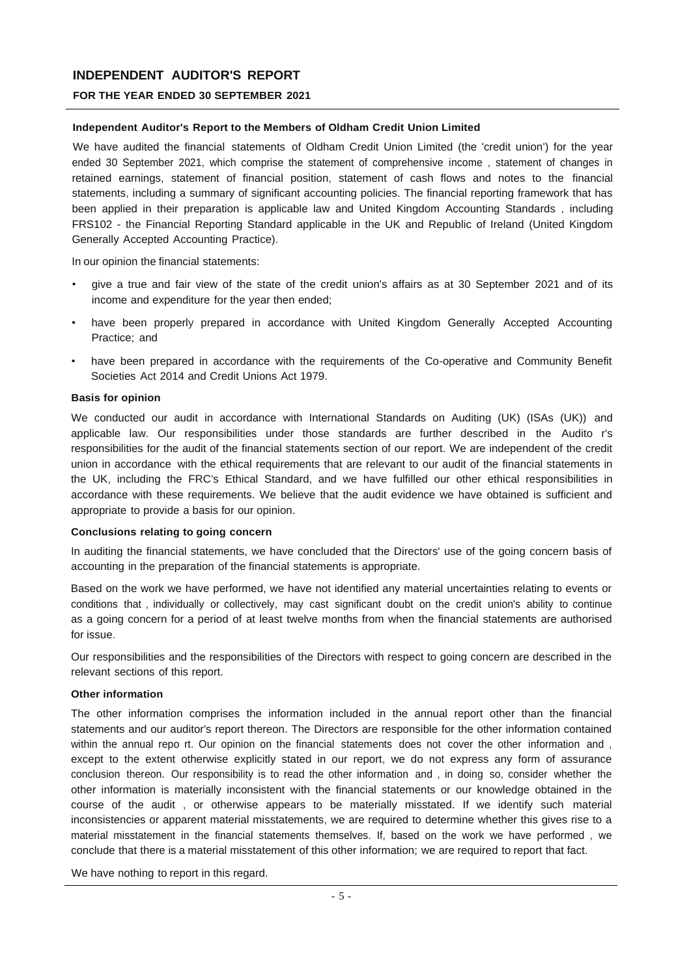# **INDEPENDENT AUDITOR'S REPORT**

## **FOR THE YEAR ENDED 30 SEPTEMBER 2021**

### **Independent Auditor's Report to the Members of Oldham Credit Union Limited**

We have audited the financial statements of Oldham Credit Union Limited (the 'credit union') for the year ended 30 September 2021, which comprise the statement of comprehensive income , statement of changes in retained earnings, statement of financial position, statement of cash flows and notes to the financial statements, including a summary of significant accounting policies. The financial reporting framework that has been applied in their preparation is applicable law and United Kingdom Accounting Standards , including FRS102 - the Financial Reporting Standard applicable in the UK and Republic of Ireland (United Kingdom Generally Accepted Accounting Practice).

In our opinion the financial statements:

- give a true and fair view of the state of the credit union's affairs as at 30 September 2021 and of its income and expenditure for the year then ended;
- have been properly prepared in accordance with United Kingdom Generally Accepted Accounting Practice; and
- have been prepared in accordance with the requirements of the Co-operative and Community Benefit Societies Act 2014 and Credit Unions Act 1979.

### **Basis for opinion**

We conducted our audit in accordance with International Standards on Auditing (UK) (ISAs (UK)) and applicable law. Our responsibilities under those standards are further described in the Audito r's responsibilities for the audit of the financial statements section of our report. We are independent of the credit union in accordance with the ethical requirements that are relevant to our audit of the financial statements in the UK, including the FRC's Ethical Standard, and we have fulfilled our other ethical responsibilities in accordance with these requirements. We believe that the audit evidence we have obtained is sufficient and appropriate to provide a basis for our opinion.

#### **Conclusions relating to going concern**

In auditing the financial statements, we have concluded that the Directors' use of the going concern basis of accounting in the preparation of the financial statements is appropriate.

Based on the work we have performed, we have not identified any material uncertainties relating to events or conditions that , individually or collectively, may cast significant doubt on the credit union's ability to continue as a going concern for a period of at least twelve months from when the financial statements are authorised for issue.

Our responsibilities and the responsibilities of the Directors with respect to going concern are described in the relevant sections of this report.

#### **Other information**

The other information comprises the information included in the annual report other than the financial statements and our auditor's report thereon. The Directors are responsible for the other information contained within the annual repo rt. Our opinion on the financial statements does not cover the other information and , except to the extent otherwise explicitly stated in our report, we do not express any form of assurance conclusion thereon. Our responsibility is to read the other information and , in doing so, consider whether the other information is materially inconsistent with the financial statements or our knowledge obtained in the course of the audit , or otherwise appears to be materially misstated. If we identify such material inconsistencies or apparent material misstatements, we are required to determine whether this gives rise to a material misstatement in the financial statements themselves. If, based on the work we have performed , we conclude that there is a material misstatement of this other information; we are required to report that fact.

We have nothing to report in this regard.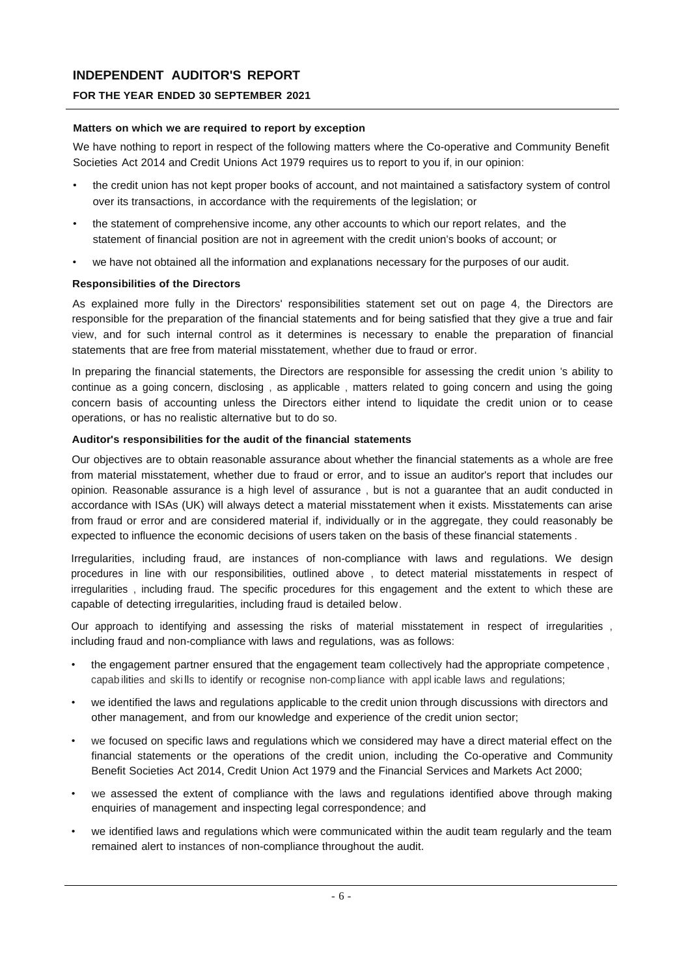# **INDEPENDENT AUDITOR'S REPORT**

## **FOR THE YEAR ENDED 30 SEPTEMBER 2021**

### **Matters on which we are required to report by exception**

We have nothing to report in respect of the following matters where the Co-operative and Community Benefit Societies Act 2014 and Credit Unions Act 1979 requires us to report to you if, in our opinion:

- the credit union has not kept proper books of account, and not maintained a satisfactory system of control over its transactions, in accordance with the requirements of the legislation; or
- the statement of comprehensive income, any other accounts to which our report relates, and the statement of financial position are not in agreement with the credit union's books of account; or
- we have not obtained all the information and explanations necessary for the purposes of our audit.

### **Responsibilities of the Directors**

As explained more fully in the Directors' responsibilities statement set out on page 4, the Directors are responsible for the preparation of the financial statements and for being satisfied that they give a true and fair view, and for such internal control as it determines is necessary to enable the preparation of financial statements that are free from material misstatement, whether due to fraud or error.

In preparing the financial statements, the Directors are responsible for assessing the credit union 's ability to continue as a going concern, disclosing , as applicable , matters related to going concern and using the going concern basis of accounting unless the Directors either intend to liquidate the credit union or to cease operations, or has no realistic alternative but to do so.

#### **Auditor's responsibilities for the audit of the financial statements**

Our objectives are to obtain reasonable assurance about whether the financial statements as a whole are free from material misstatement, whether due to fraud or error, and to issue an auditor's report that includes our opinion. Reasonable assurance is a high level of assurance , but is not a guarantee that an audit conducted in accordance with ISAs (UK) will always detect a material misstatement when it exists. Misstatements can arise from fraud or error and are considered material if, individually or in the aggregate, they could reasonably be expected to influence the economic decisions of users taken on the basis of these financial statements .

Irregularities, including fraud, are instances of non-compliance with laws and regulations. We design procedures in line with our responsibilities, outlined above , to detect material misstatements in respect of irregularities , including fraud. The specific procedures for this engagement and the extent to which these are capable of detecting irregularities, including fraud is detailed below.

Our approach to identifying and assessing the risks of material misstatement in respect of irregularities , including fraud and non-compliance with laws and regulations, was as follows:

- the engagement partner ensured that the engagement team collectively had the appropriate competence , capab ilities and ski lls to identify or recognise non-comp liance with appl icable laws and regulations;
- we identified the laws and regulations applicable to the credit union through discussions with directors and other management, and from our knowledge and experience of the credit union sector;
- we focused on specific laws and regulations which we considered may have a direct material effect on the financial statements or the operations of the credit union, including the Co-operative and Community Benefit Societies Act 2014, Credit Union Act 1979 and the Financial Services and Markets Act 2000;
- we assessed the extent of compliance with the laws and regulations identified above through making enquiries of management and inspecting legal correspondence; and
- we identified laws and regulations which were communicated within the audit team regularly and the team remained alert to instances of non-compliance throughout the audit.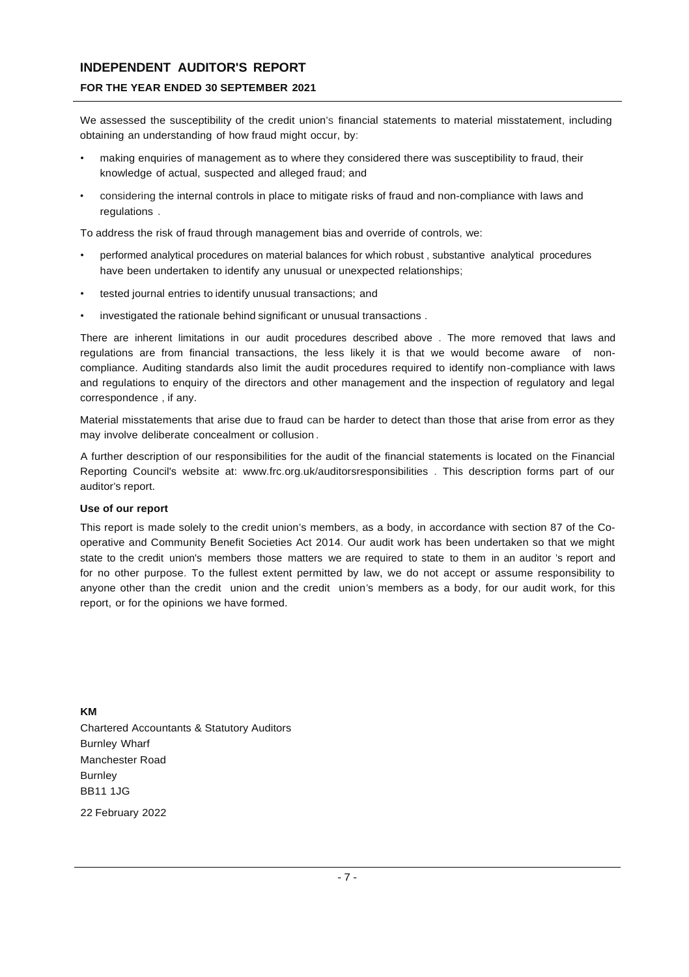## **INDEPENDENT AUDITOR'S REPORT**

### **FOR THE YEAR ENDED 30 SEPTEMBER 2021**

We assessed the susceptibility of the credit union's financial statements to material misstatement, including obtaining an understanding of how fraud might occur, by:

- making enquiries of management as to where they considered there was susceptibility to fraud, their knowledge of actual, suspected and alleged fraud; and
- considering the internal controls in place to mitigate risks of fraud and non-compliance with laws and regulations .

To address the risk of fraud through management bias and override of controls, we:

- performed analytical procedures on material balances for which robust , substantive analytical procedures have been undertaken to identify any unusual or unexpected relationships;
- tested journal entries to identify unusual transactions; and
- investigated the rationale behind significant or unusual transactions.

There are inherent limitations in our audit procedures described above . The more removed that laws and regulations are from financial transactions, the less likely it is that we would become aware of noncompliance. Auditing standards also limit the audit procedures required to identify non-compliance with laws and regulations to enquiry of the directors and other management and the inspection of regulatory and legal correspondence , if any.

Material misstatements that arise due to fraud can be harder to detect than those that arise from error as they may involve deliberate concealment or collusion .

A further description of our responsibilities for the audit of the financial statements is located on the Financial Reporting Council's website at: [www.frc.org.uk/auditorsresponsibilities](http://www.frc.org.uk/auditorsresponsibilities) . This description forms part of our auditor's report.

#### **Use of our report**

This report is made solely to the credit union's members, as a body, in accordance with section 87 of the Cooperative and Community Benefit Societies Act 2014. Our audit work has been undertaken so that we might state to the credit union's members those matters we are required to state to them in an auditor 's report and for no other purpose. To the fullest extent permitted by law, we do not accept or assume responsibility to anyone other than the credit union and the credit union's members as a body, for our audit work, for this report, or for the opinions we have formed.

**KM** Chartered Accountants & Statutory Auditors Burnley Wharf Manchester Road Burnley BB11 1JG

22 February 2022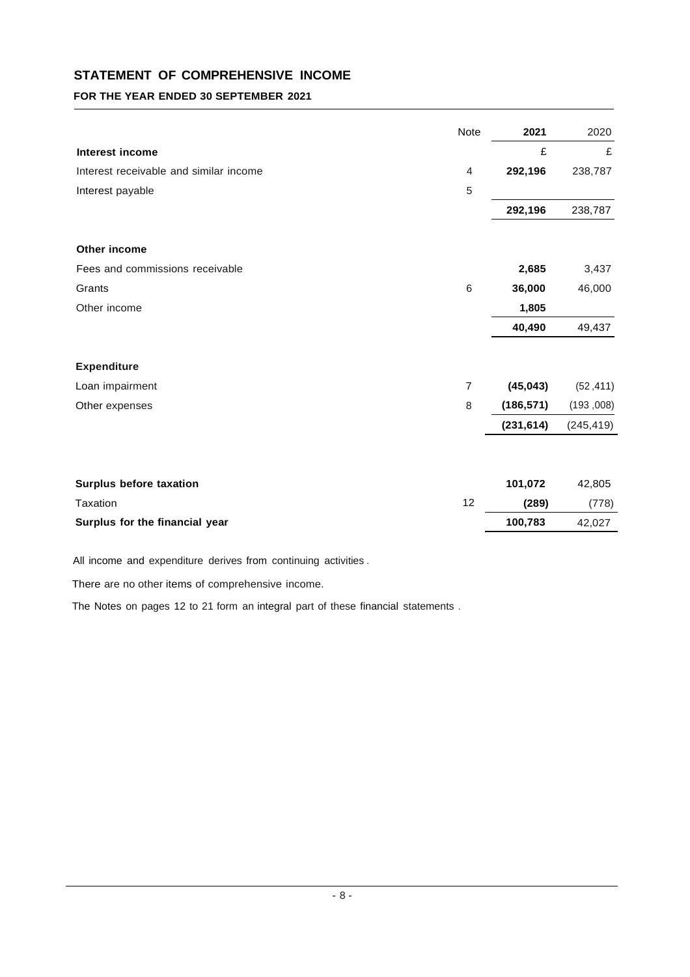# **STATEMENT OF COMPREHENSIVE INCOME**

# **FOR THE YEAR ENDED 30 SEPTEMBER 2021**

|                                        | Note            | 2021       | 2020       |
|----------------------------------------|-----------------|------------|------------|
| Interest income                        |                 | £          | £          |
| Interest receivable and similar income | 4               | 292,196    | 238,787    |
| Interest payable                       | 5               |            |            |
|                                        |                 | 292,196    | 238,787    |
| Other income                           |                 |            |            |
| Fees and commissions receivable        |                 | 2,685      | 3,437      |
| Grants                                 | $6\phantom{1}6$ | 36,000     | 46,000     |
| Other income                           |                 | 1,805      |            |
|                                        |                 | 40,490     | 49,437     |
| <b>Expenditure</b>                     |                 |            |            |
| Loan impairment                        | $\overline{7}$  | (45, 043)  | (52, 411)  |
| Other expenses                         | 8               | (186, 571) | (193,008)  |
|                                        |                 | (231, 614) | (245, 419) |
|                                        |                 |            |            |
| Surplus before taxation                |                 | 101,072    | 42,805     |
| Taxation                               | 12              | (289)      | (778)      |
| Surplus for the financial year         |                 | 100,783    | 42,027     |

All income and expenditure derives from continuing activities .

There are no other items of comprehensive income.

The Notes on pages 12 to 21 form an integral part of these financial statements .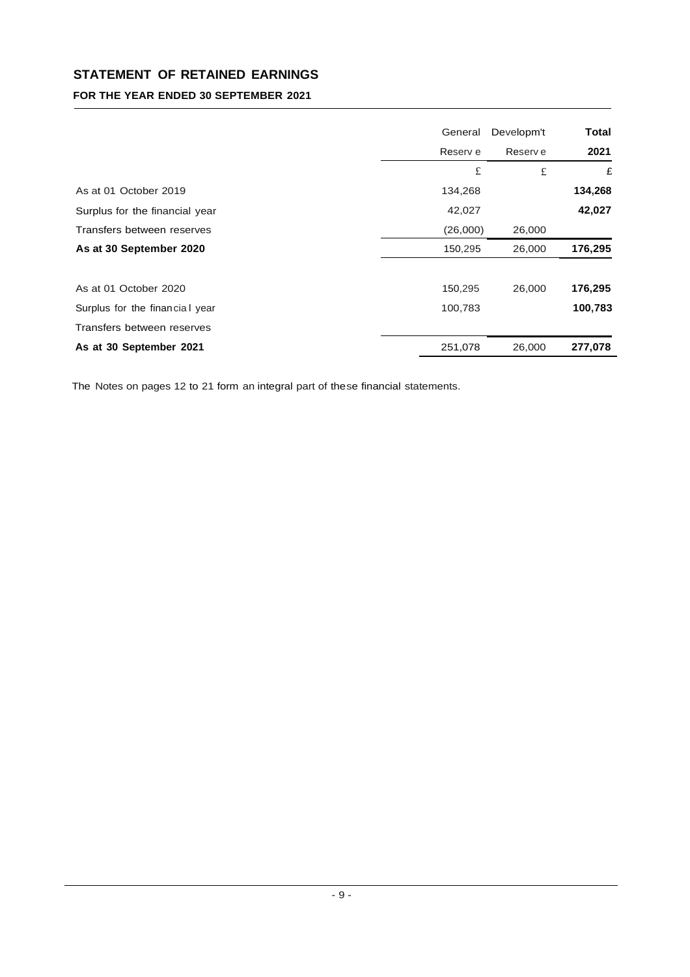# **STATEMENT OF RETAINED EARNINGS**

# **FOR THE YEAR ENDED 30 SEPTEMBER 2021**

|                                | General  | Developm't | Total   |
|--------------------------------|----------|------------|---------|
|                                | Reserv e | Reserv e   | 2021    |
|                                | £        | £          | £       |
| As at 01 October 2019          | 134,268  |            | 134,268 |
| Surplus for the financial year | 42,027   |            | 42,027  |
| Transfers between reserves     | (26,000) | 26,000     |         |
| As at 30 September 2020        | 150,295  | 26,000     | 176,295 |
| As at 01 October 2020          | 150,295  | 26,000     | 176,295 |
| Surplus for the financial year | 100,783  |            | 100,783 |
| Transfers between reserves     |          |            |         |
| As at 30 September 2021        | 251,078  | 26,000     | 277,078 |

The Notes on pages 12 to 21 form an integral part of these financial statements.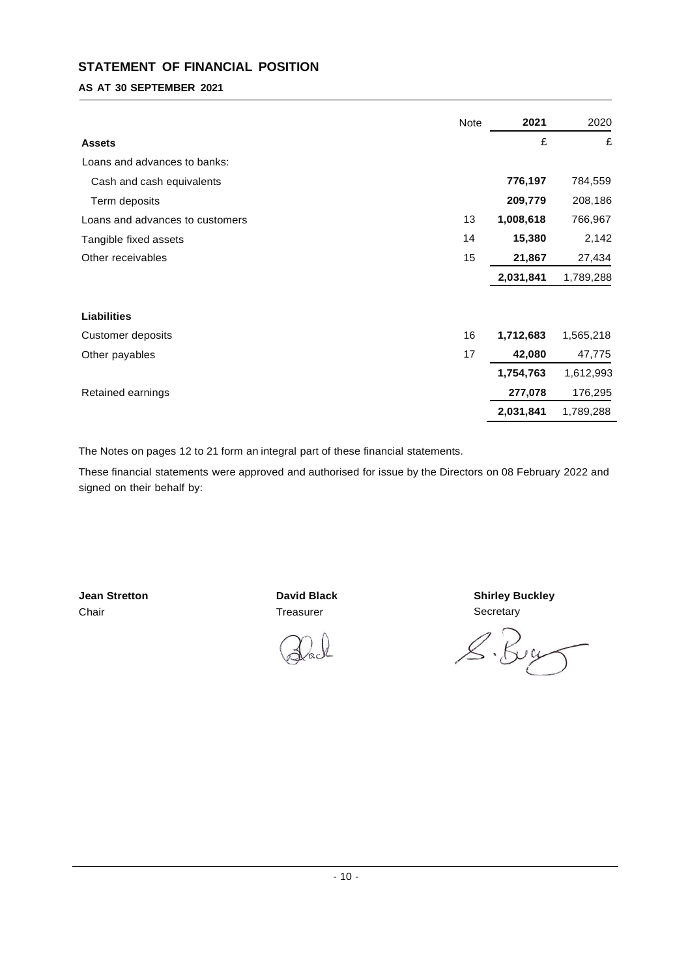# **STATEMENT OF FINANCIAL POSITION**

## **AS AT 30 SEPTEMBER 2021**

|                                 | Note | 2021      | 2020      |
|---------------------------------|------|-----------|-----------|
| <b>Assets</b>                   |      | £         | £         |
| Loans and advances to banks:    |      |           |           |
| Cash and cash equivalents       |      | 776,197   | 784,559   |
| Term deposits                   |      | 209,779   | 208,186   |
| Loans and advances to customers | 13   | 1,008,618 | 766,967   |
| Tangible fixed assets           | 14   | 15,380    | 2,142     |
| Other receivables               | 15   | 21,867    | 27,434    |
|                                 |      | 2,031,841 | 1,789,288 |
|                                 |      |           |           |
| <b>Liabilities</b>              |      |           |           |
| <b>Customer deposits</b>        | 16   | 1,712,683 | 1,565,218 |
| Other payables                  | 17   | 42,080    | 47,775    |
|                                 |      | 1,754,763 | 1,612,993 |
| Retained earnings               |      | 277,078   | 176,295   |
|                                 |      | 2,031,841 | 1,789,288 |

The Notes on pages 12 to 21 form an integral part of these financial statements.

These financial statements were approved and authorised for issue by the Directors on 08 February 2022 and signed on their behalf by:

**Jean Stretton** Chair

**David Black** Treasurer



**Shirley Buckley Secretary** 

S. By  $\int$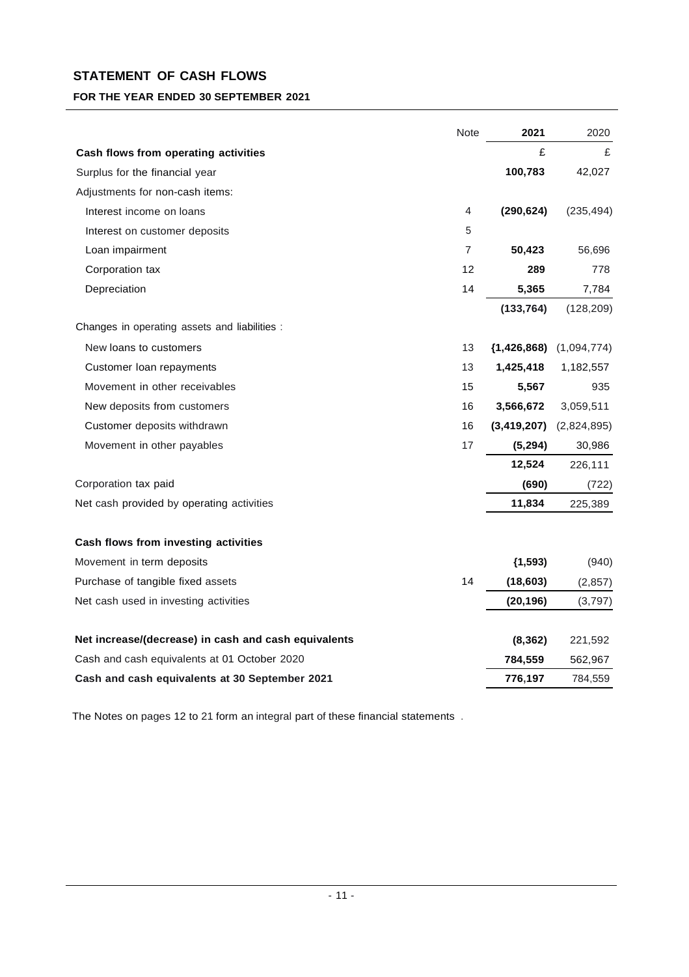# **STATEMENT OF CASH FLOWS**

# **FOR THE YEAR ENDED 30 SEPTEMBER 2021**

|                                                      | <b>Note</b>    | 2021          | 2020        |
|------------------------------------------------------|----------------|---------------|-------------|
| Cash flows from operating activities                 |                | £             | £           |
| Surplus for the financial year                       |                | 100,783       | 42,027      |
| Adjustments for non-cash items:                      |                |               |             |
| Interest income on loans                             | 4              | (290, 624)    | (235, 494)  |
| Interest on customer deposits                        | 5              |               |             |
| Loan impairment                                      | $\overline{7}$ | 50,423        | 56,696      |
| Corporation tax                                      | 12             | 289           | 778         |
| Depreciation                                         | 14             | 5,365         | 7,784       |
|                                                      |                | (133, 764)    | (128, 209)  |
| Changes in operating assets and liabilities :        |                |               |             |
| New loans to customers                               | 13             | (1, 426, 868) | (1,094,774) |
| Customer loan repayments                             | 13             | 1,425,418     | 1,182,557   |
| Movement in other receivables                        | 15             | 5,567         | 935         |
| New deposits from customers                          | 16             | 3,566,672     | 3,059,511   |
| Customer deposits withdrawn                          | 16             | (3, 419, 207) | (2,824,895) |
| Movement in other payables                           | 17             | (5,294)       | 30,986      |
|                                                      |                | 12,524        | 226,111     |
| Corporation tax paid                                 |                | (690)         | (722)       |
| Net cash provided by operating activities            |                | 11,834        | 225,389     |
| Cash flows from investing activities                 |                |               |             |
| Movement in term deposits                            |                | (1, 593)      | (940)       |
| Purchase of tangible fixed assets                    | 14             | (18, 603)     | (2, 857)    |
| Net cash used in investing activities                |                | (20, 196)     | (3,797)     |
| Net increase/(decrease) in cash and cash equivalents |                | (8, 362)      | 221,592     |
| Cash and cash equivalents at 01 October 2020         |                | 784,559       | 562,967     |
| Cash and cash equivalents at 30 September 2021       |                | 776,197       | 784,559     |

The Notes on pages 12 to 21 form an integral part of these financial statements .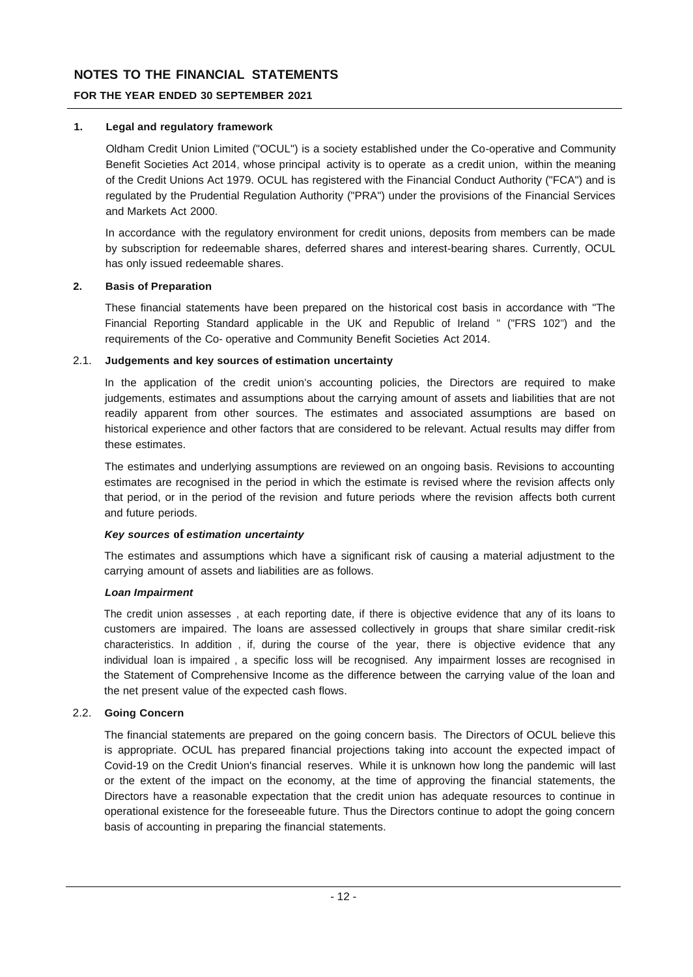# **FOR THE YEAR ENDED 30 SEPTEMBER 2021**

## **1. Legal and regulatory framework**

Oldham Credit Union Limited ("OCUL") is a society established under the Co-operative and Community Benefit Societies Act 2014, whose principal activity is to operate as a credit union, within the meaning of the Credit Unions Act 1979. OCUL has registered with the Financial Conduct Authority ("FCA") and is regulated by the Prudential Regulation Authority ("PRA") under the provisions of the Financial Services and Markets Act 2000.

In accordance with the regulatory environment for credit unions, deposits from members can be made by subscription for redeemable shares, deferred shares and interest-bearing shares. Currently, OCUL has only issued redeemable shares.

## **2. Basis of Preparation**

These financial statements have been prepared on the historical cost basis in accordance with "The Financial Reporting Standard applicable in the UK and Republic of Ireland " ("FRS 102") and the requirements of the Co- operative and Community Benefit Societies Act 2014.

## 2.1. **Judgements and key sources of estimation uncertainty**

In the application of the credit union's accounting policies, the Directors are required to make judgements, estimates and assumptions about the carrying amount of assets and liabilities that are not readily apparent from other sources. The estimates and associated assumptions are based on historical experience and other factors that are considered to be relevant. Actual results may differ from these estimates.

The estimates and underlying assumptions are reviewed on an ongoing basis. Revisions to accounting estimates are recognised in the period in which the estimate is revised where the revision affects only that period, or in the period of the revision and future periods where the revision affects both current and future periods.

## *Key sources* **of** *estimation uncertainty*

The estimates and assumptions which have a significant risk of causing a material adjustment to the carrying amount of assets and liabilities are as follows.

## *Loan Impairment*

The credit union assesses , at each reporting date, if there is objective evidence that any of its loans to customers are impaired. The loans are assessed collectively in groups that share similar credit-risk characteristics. In addition , if, during the course of the year, there is objective evidence that any individual loan is impaired , a specific loss will be recognised. Any impairment losses are recognised in the Statement of Comprehensive Income as the difference between the carrying value of the loan and the net present value of the expected cash flows.

## 2.2. **Going Concern**

The financial statements are prepared on the going concern basis. The Directors of OCUL believe this is appropriate. OCUL has prepared financial projections taking into account the expected impact of Covid-19 on the Credit Union's financial reserves. While it is unknown how long the pandemic will last or the extent of the impact on the economy, at the time of approving the financial statements, the Directors have a reasonable expectation that the credit union has adequate resources to continue in operational existence for the foreseeable future. Thus the Directors continue to adopt the going concern basis of accounting in preparing the financial statements.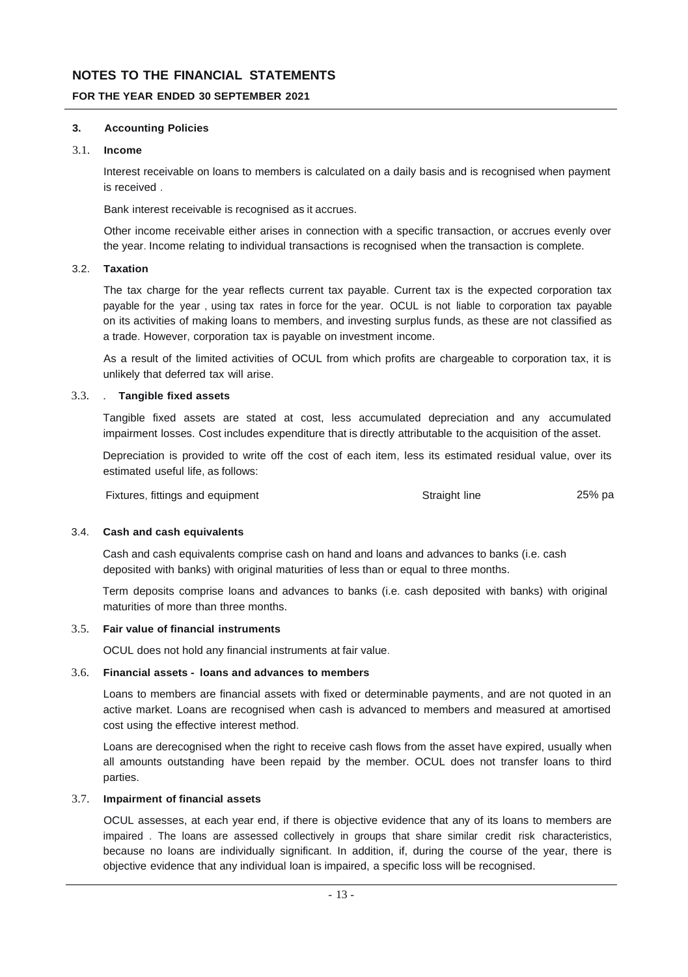### **FOR THE YEAR ENDED 30 SEPTEMBER 2021**

### **3. Accounting Policies**

### 3.1. **Income**

Interest receivable on loans to members is calculated on a daily basis and is recognised when payment is received .

Bank interest receivable is recognised as it accrues.

Other income receivable either arises in connection with a specific transaction, or accrues evenly over the year. Income relating to individual transactions is recognised when the transaction is complete.

## 3.2. **Taxation**

The tax charge for the year reflects current tax payable. Current tax is the expected corporation tax payable for the year , using tax rates in force for the year. OCUL is not liable to corporation tax payable on its activities of making loans to members, and investing surplus funds, as these are not classified as a trade. However, corporation tax is payable on investment income.

As a result of the limited activities of OCUL from which profits are chargeable to corporation tax, it is unlikely that deferred tax will arise.

### 3.3. . **Tangible fixed assets**

Tangible fixed assets are stated at cost, less accumulated depreciation and any accumulated impairment losses. Cost includes expenditure that is directly attributable to the acquisition of the asset.

Depreciation is provided to write off the cost of each item, less its estimated residual value, over its estimated useful life, as follows:

Fixtures, fittings and equipment The Control of Straight line 25% part of 25% part of the 25% part of the 25% part of the 25% part of the 25% part of the 25% part of the 25% part of the 25% part of the 25% part of the 25%

#### 3.4. **Cash and cash equivalents**

Cash and cash equivalents comprise cash on hand and loans and advances to banks (i.e. cash deposited with banks) with original maturities of less than or equal to three months.

Term deposits comprise loans and advances to banks (i.e. cash deposited with banks) with original maturities of more than three months.

#### 3.5. **Fair value of financial instruments**

OCUL does not hold any financial instruments at fair value.

### 3.6. **Financial assets - loans and advances to members**

Loans to members are financial assets with fixed or determinable payments, and are not quoted in an active market. Loans are recognised when cash is advanced to members and measured at amortised cost using the effective interest method.

Loans are derecognised when the right to receive cash flows from the asset have expired, usually when all amounts outstanding have been repaid by the member. OCUL does not transfer loans to third parties.

## 3.7. **Impairment of financial assets**

OCUL assesses, at each year end, if there is objective evidence that any of its loans to members are impaired . The loans are assessed collectively in groups that share similar credit risk characteristics, because no loans are individually significant. In addition, if, during the course of the year, there is objective evidence that any individual loan is impaired, a specific loss will be recognised.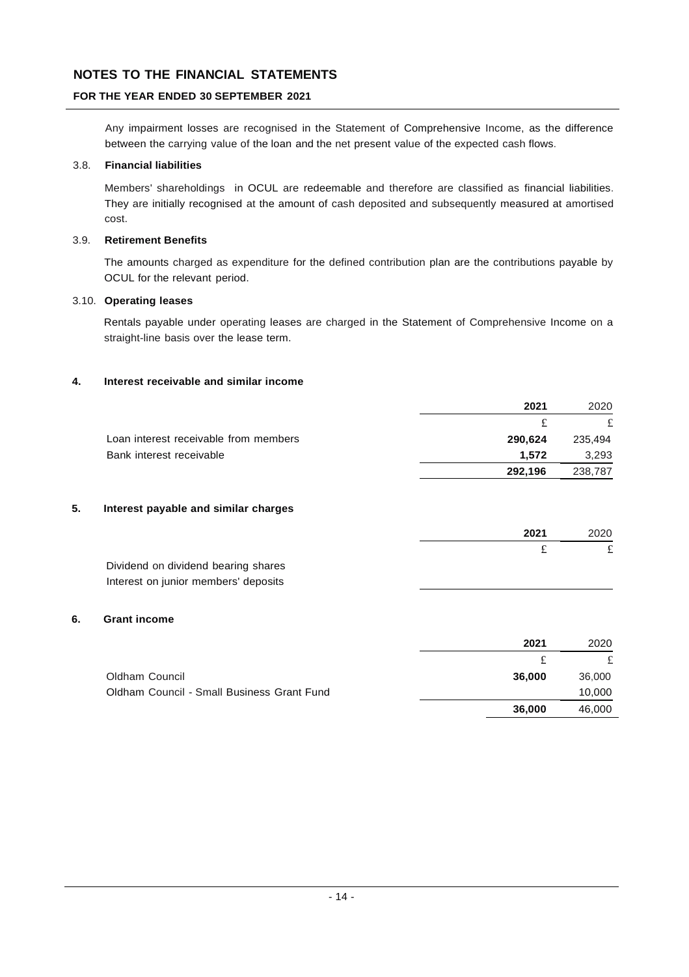# **FOR THE YEAR ENDED 30 SEPTEMBER 2021**

Any impairment losses are recognised in the Statement of Comprehensive Income, as the difference between the carrying value of the loan and the net present value of the expected cash flows.

## 3.8. **Financial liabilities**

Members' shareholdings in OCUL are redeemable and therefore are classified as financial liabilities. They are initially recognised at the amount of cash deposited and subsequently measured at amortised cost.

## 3.9. **Retirement Benefits**

The amounts charged as expenditure for the defined contribution plan are the contributions payable by OCUL for the relevant period.

## 3.10. **Operating leases**

Rentals payable under operating leases are charged in the Statement of Comprehensive Income on a straight-line basis over the lease term.

## **4. Interest receivable and similar income**

|                                       | 2021    | 2020    |
|---------------------------------------|---------|---------|
|                                       |         | £       |
| Loan interest receivable from members | 290,624 | 235,494 |
| Bank interest receivable              | 1.572   | 3,293   |
|                                       | 292,196 | 238,787 |
|                                       |         |         |

## **5. Interest payable and similar charges**

|                                      | 2021 | 2020 |
|--------------------------------------|------|------|
|                                      |      |      |
| Dividend on dividend bearing shares  |      |      |
| Interest on junior members' deposits |      |      |

### **6. Grant income**

|                                            | 2021   | 2020   |
|--------------------------------------------|--------|--------|
|                                            |        |        |
| Oldham Council                             | 36.000 | 36,000 |
| Oldham Council - Small Business Grant Fund |        | 10,000 |
|                                            | 36,000 | 46,000 |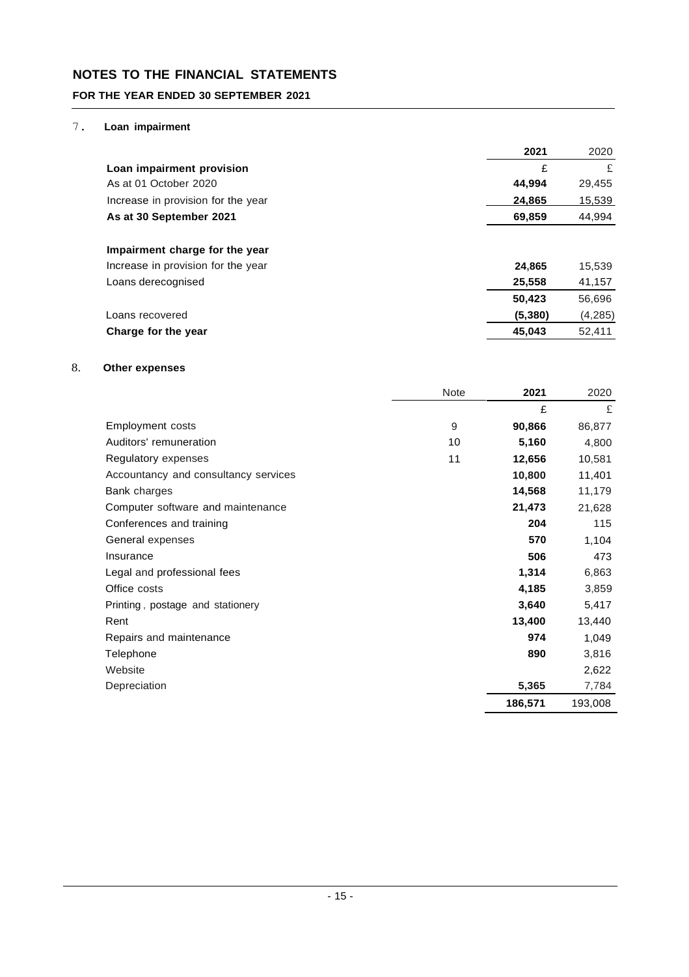## **FOR THE YEAR ENDED 30 SEPTEMBER 2021**

## 7. **Loan impairment**

|                                    | 2021    | 2020     |
|------------------------------------|---------|----------|
| Loan impairment provision          | £       | £        |
| As at 01 October 2020              | 44,994  | 29,455   |
| Increase in provision for the year | 24,865  | 15,539   |
| As at 30 September 2021            | 69,859  | 44,994   |
| Impairment charge for the year     |         |          |
| Increase in provision for the year | 24,865  | 15,539   |
| Loans derecognised                 | 25,558  | 41,157   |
|                                    | 50,423  | 56,696   |
| Loans recovered                    | (5,380) | (4, 285) |
| Charge for the year                | 45,043  | 52,411   |

## 8. **Other expenses**

|                                      | Note | 2021    | 2020    |
|--------------------------------------|------|---------|---------|
|                                      |      | £       | £       |
| <b>Employment costs</b>              | 9    | 90,866  | 86,877  |
| Auditors' remuneration               | 10   | 5,160   | 4,800   |
| Regulatory expenses                  | 11   | 12,656  | 10,581  |
| Accountancy and consultancy services |      | 10,800  | 11,401  |
| Bank charges                         |      | 14,568  | 11,179  |
| Computer software and maintenance    |      | 21,473  | 21,628  |
| Conferences and training             |      | 204     | 115     |
| General expenses                     |      | 570     | 1,104   |
| Insurance                            |      | 506     | 473     |
| Legal and professional fees          |      | 1,314   | 6,863   |
| Office costs                         |      | 4,185   | 3,859   |
| Printing, postage and stationery     |      | 3,640   | 5,417   |
| Rent                                 |      | 13,400  | 13,440  |
| Repairs and maintenance              |      | 974     | 1,049   |
| Telephone                            |      | 890     | 3,816   |
| Website                              |      |         | 2,622   |
| Depreciation                         |      | 5,365   | 7,784   |
|                                      |      | 186,571 | 193,008 |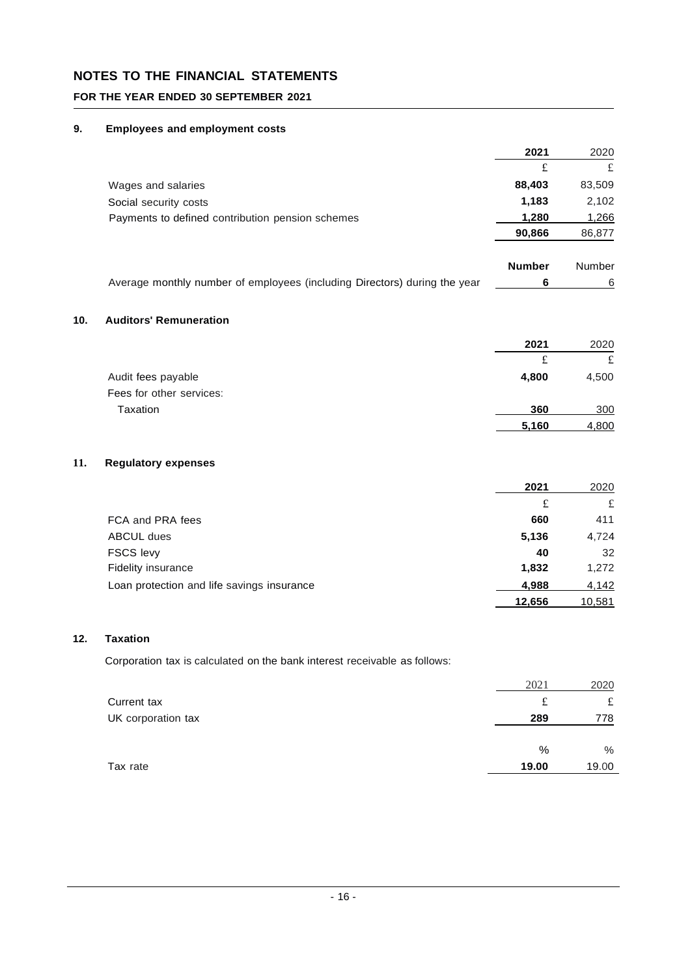# **FOR THE YEAR ENDED 30 SEPTEMBER 2021**

## **9. Employees and employment costs**

|     |                                                                           | 2021          | 2020          |
|-----|---------------------------------------------------------------------------|---------------|---------------|
|     |                                                                           | £             | £             |
|     | Wages and salaries                                                        | 88,403        | 83,509        |
|     | Social security costs                                                     | 1,183         | 2,102         |
|     | Payments to defined contribution pension schemes                          | 1,280         | 1,266         |
|     |                                                                           | 90,866        | 86,877        |
|     |                                                                           |               |               |
|     |                                                                           | <b>Number</b> | <b>Number</b> |
|     | Average monthly number of employees (including Directors) during the year | 6             | 6             |
|     |                                                                           |               |               |
| 10. | <b>Auditors' Remuneration</b>                                             |               |               |
|     |                                                                           | 2021          | 2020          |
|     |                                                                           | £             | £             |
|     | Audit fees payable                                                        | 4,800         | 4,500         |
|     | Fees for other services:                                                  |               |               |
|     | Taxation                                                                  | 360           | 300           |
|     |                                                                           | 5,160         | 4,800         |

## **11. Regulatory expenses**

|                                            | 2021   | 2020   |
|--------------------------------------------|--------|--------|
|                                            | £      | £      |
| FCA and PRA fees                           | 660    | 411    |
| <b>ABCUL dues</b>                          | 5,136  | 4,724  |
| <b>FSCS levy</b>                           | 40     | 32     |
| <b>Fidelity insurance</b>                  | 1,832  | 1.272  |
| Loan protection and life savings insurance | 4,988  | 4,142  |
|                                            | 12,656 | 10,581 |

## **12. Taxation**

Corporation tax is calculated on the bank interest receivable as follows:

|                    | 2021  | 2020  |
|--------------------|-------|-------|
| Current tax        | £     | £     |
| UK corporation tax | 289   | 778   |
|                    |       |       |
|                    | %     | $\%$  |
| Tax rate           | 19.00 | 19.00 |
|                    |       |       |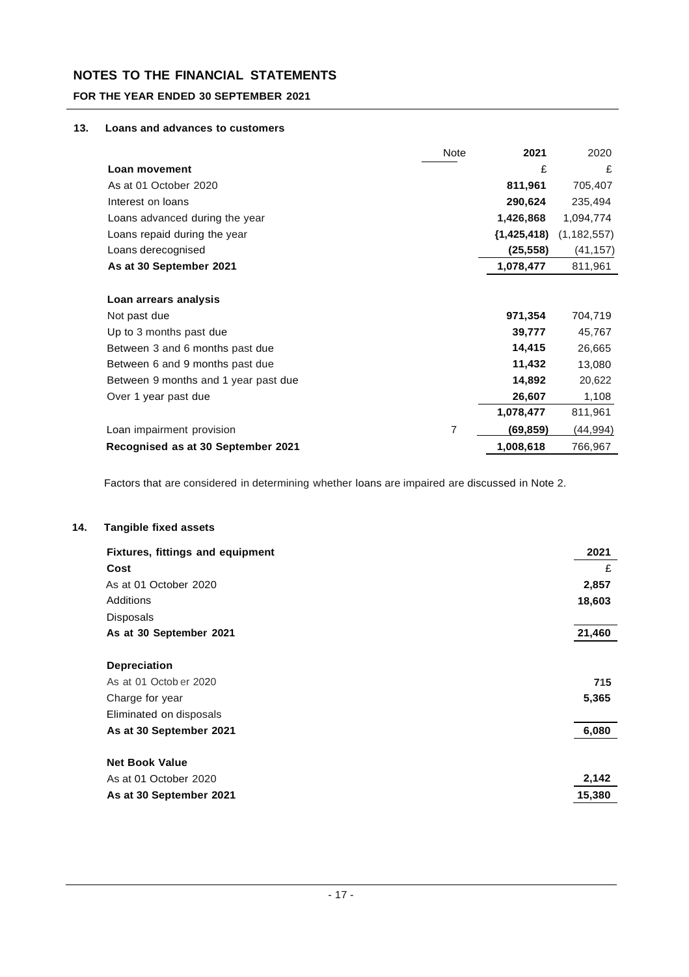## **FOR THE YEAR ENDED 30 SEPTEMBER 2021**

## **13. Loans and advances to customers**

|                                      | <b>Note</b> | 2021          | 2020          |
|--------------------------------------|-------------|---------------|---------------|
| Loan movement                        |             | £             | £             |
| As at 01 October 2020                |             | 811,961       | 705,407       |
| Interest on loans                    |             | 290,624       | 235,494       |
| Loans advanced during the year       |             | 1,426,868     | 1,094,774     |
| Loans repaid during the year         |             | (1, 425, 418) | (1, 182, 557) |
| Loans derecognised                   |             | (25, 558)     | (41, 157)     |
| As at 30 September 2021              |             | 1,078,477     | 811,961       |
|                                      |             |               |               |
| Loan arrears analysis                |             |               |               |
| Not past due                         |             | 971,354       | 704,719       |
| Up to 3 months past due              |             | 39,777        | 45,767        |
| Between 3 and 6 months past due      |             | 14,415        | 26,665        |
| Between 6 and 9 months past due      |             | 11,432        | 13,080        |
| Between 9 months and 1 year past due |             | 14,892        | 20,622        |
| Over 1 year past due                 |             | 26,607        | 1,108         |
|                                      |             | 1,078,477     | 811,961       |
| Loan impairment provision            | 7           | (69, 859)     | (44,994)      |
| Recognised as at 30 September 2021   |             | 1,008,618     | 766,967       |

Factors that are considered in determining whether loans are impaired are discussed in Note 2.

#### **14. Tangible fixed assets**

| <b>Fixtures, fittings and equipment</b> | 2021   |
|-----------------------------------------|--------|
| Cost                                    | £      |
| As at 01 October 2020                   | 2,857  |
| <b>Additions</b>                        | 18,603 |
| <b>Disposals</b>                        |        |
| As at 30 September 2021                 | 21,460 |
|                                         |        |
| <b>Depreciation</b>                     |        |
| As at 01 Octob er 2020                  | 715    |
| Charge for year                         | 5,365  |
| Eliminated on disposals                 |        |
| As at 30 September 2021                 | 6,080  |
|                                         |        |
| <b>Net Book Value</b>                   |        |
| As at 01 October 2020                   | 2,142  |
| As at 30 September 2021                 | 15,380 |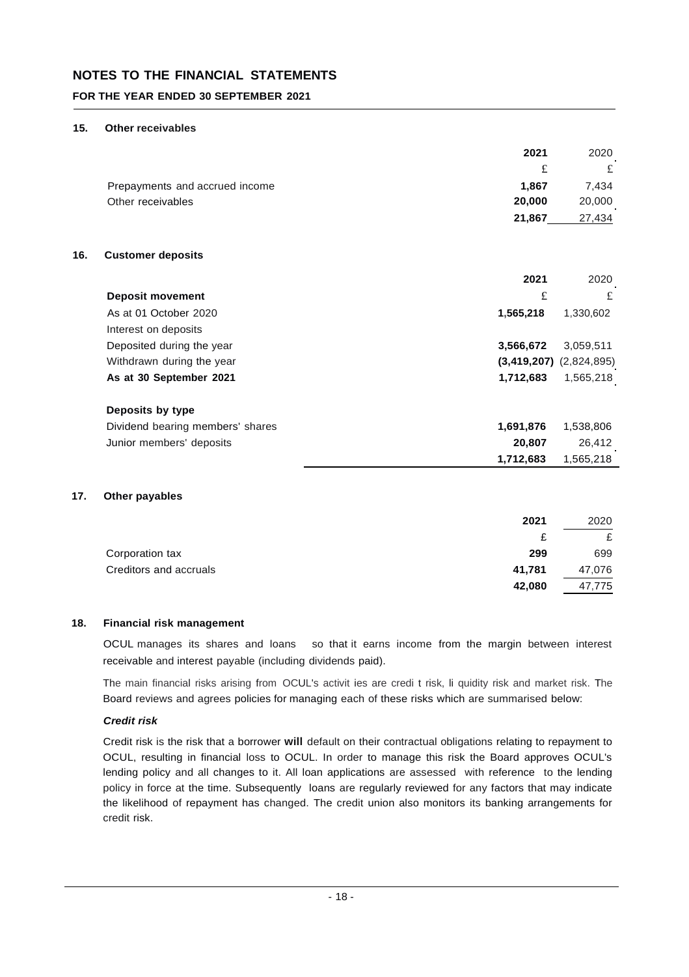## **FOR THE YEAR ENDED 30 SEPTEMBER 2021**

#### **15. Other receivables**

|                                | 2021   | 2020   |
|--------------------------------|--------|--------|
|                                |        | £      |
| Prepayments and accrued income | 1.867  | 7.434  |
| Other receivables              | 20,000 | 20,000 |
|                                | 21.867 | 27.434 |

### **16. Customer deposits**

|                                  | 2021      | 2020                        |
|----------------------------------|-----------|-----------------------------|
| <b>Deposit movement</b>          | £         | £                           |
| As at 01 October 2020            | 1,565,218 | 1,330,602                   |
| Interest on deposits             |           |                             |
| Deposited during the year        | 3,566,672 | 3,059,511                   |
| Withdrawn during the year        |           | $(3,419,207)$ $(2,824,895)$ |
| As at 30 September 2021          | 1,712,683 | 1,565,218                   |
| Deposits by type                 |           |                             |
| Dividend bearing members' shares | 1,691,876 | 1,538,806                   |
| Junior members' deposits         | 20,807    | 26,412                      |
|                                  | 1,712,683 | 1,565,218                   |

#### **17. Other payables**

|                        | 2021   | 2020   |
|------------------------|--------|--------|
|                        | £      |        |
| Corporation tax        | 299    | 699    |
| Creditors and accruals | 41,781 | 47,076 |
|                        | 42,080 | 47.775 |

### **18. Financial risk management**

OCUL manages its shares and loans so that it earns income from the margin between interest receivable and interest payable (including dividends paid).

The main financial risks arising from OCUL's activit ies are credi t risk, li quidity risk and market risk. The Board reviews and agrees policies for managing each of these risks which are summarised below:

### *Credit risk*

Credit risk is the risk that a borrower **will** default on their contractual obligations relating to repayment to OCUL, resulting in financial loss to OCUL. In order to manage this risk the Board approves OCUL's lending policy and all changes to it. All loan applications are assessed with reference to the lending policy in force at the time. Subsequently loans are regularly reviewed for any factors that may indicate the likelihood of repayment has changed. The credit union also monitors its banking arrangements for credit risk.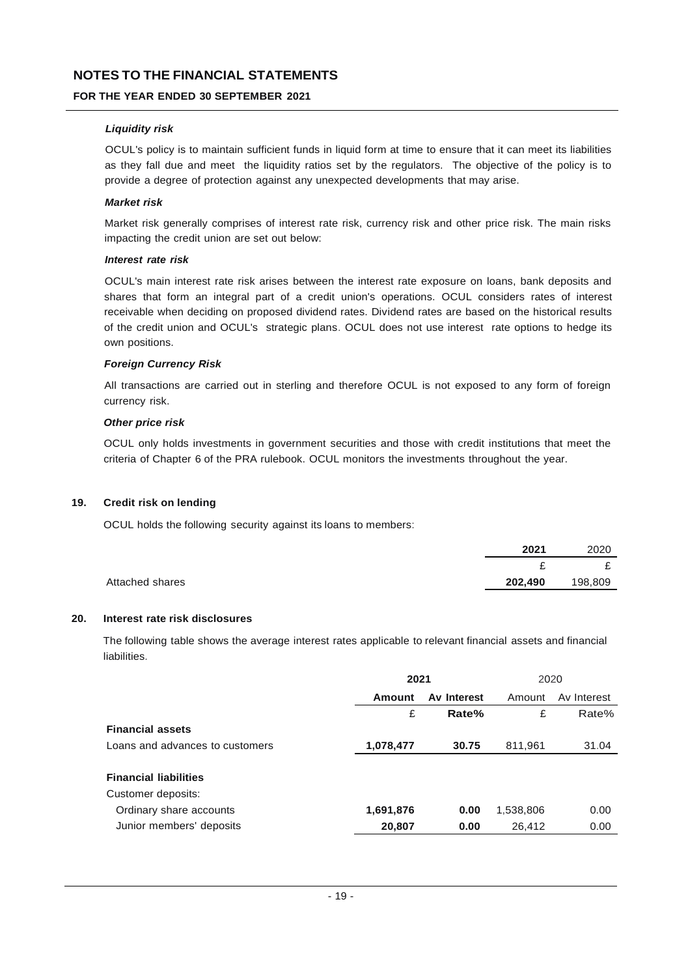## **FOR THE YEAR ENDED 30 SEPTEMBER 2021**

### *Liquidity risk*

OCUL's policy is to maintain sufficient funds in liquid form at time to ensure that it can meet its liabilities as they fall due and meet the liquidity ratios set by the regulators. The objective of the policy is to provide a degree of protection against any unexpected developments that may arise.

### *Market risk*

Market risk generally comprises of interest rate risk, currency risk and other price risk. The main risks impacting the credit union are set out below:

#### *Interest rate risk*

OCUL's main interest rate risk arises between the interest rate exposure on loans, bank deposits and shares that form an integral part of a credit union's operations. OCUL considers rates of interest receivable when deciding on proposed dividend rates. Dividend rates are based on the historical results of the credit union and OCUL's strategic plans. OCUL does not use interest rate options to hedge its own positions.

#### *Foreign Currency Risk*

All transactions are carried out in sterling and therefore OCUL is not exposed to any form of foreign currency risk.

### *Other price risk*

OCUL only holds investments in government securities and those with credit institutions that meet the criteria of Chapter 6 of the PRA rulebook. OCUL monitors the investments throughout the year.

### **19. Credit risk on lending**

OCUL holds the following security against its loans to members:

|                 | 2021    | 2020    |
|-----------------|---------|---------|
|                 |         | -       |
| Attached shares | 202,490 | 198,809 |

#### **20. Interest rate risk disclosures**

The following table shows the average interest rates applicable to relevant financial assets and financial liabilities.

|                                 | 2021      |             | 2020      |             |
|---------------------------------|-----------|-------------|-----------|-------------|
|                                 | Amount    | Av Interest | Amount    | Av Interest |
|                                 | £         | Rate%       | £         | Rate%       |
| <b>Financial assets</b>         |           |             |           |             |
| Loans and advances to customers | 1,078,477 | 30.75       | 811,961   | 31.04       |
|                                 |           |             |           |             |
| <b>Financial liabilities</b>    |           |             |           |             |
| Customer deposits:              |           |             |           |             |
| Ordinary share accounts         | 1,691,876 | 0.00        | 1,538,806 | 0.00        |
| Junior members' deposits        | 20,807    | 0.00        | 26,412    | 0.00        |
|                                 |           |             |           |             |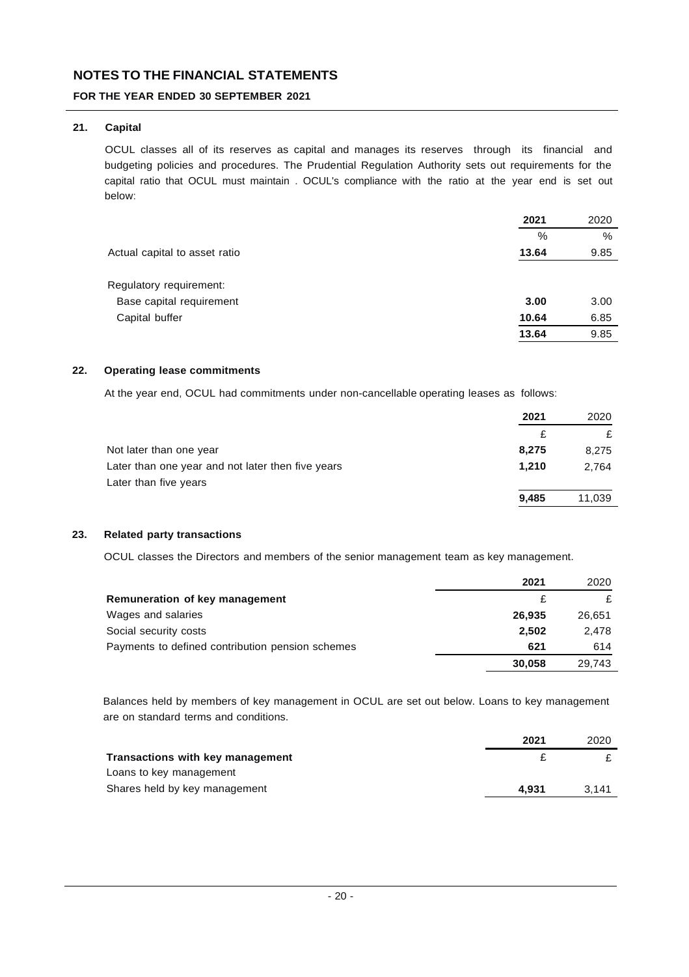## **FOR THE YEAR ENDED 30 SEPTEMBER 2021**

## **21. Capital**

OCUL classes all of its reserves as capital and manages its reserves through its financial and budgeting policies and procedures. The Prudential Regulation Authority sets out requirements for the capital ratio that OCUL must maintain . OCUL's compliance with the ratio at the year end is set out below:

|                               | 2021  | 2020 |
|-------------------------------|-------|------|
|                               | $\%$  | $\%$ |
| Actual capital to asset ratio | 13.64 | 9.85 |
|                               |       |      |
| Regulatory requirement:       |       |      |
| Base capital requirement      | 3.00  | 3.00 |
| Capital buffer                | 10.64 | 6.85 |
|                               | 13.64 | 9.85 |

### **22. Operating lease commitments**

At the year end, OCUL had commitments under non-cancellable operating leases as follows:

|                                                   | 2021  | 2020   |
|---------------------------------------------------|-------|--------|
|                                                   | £     |        |
| Not later than one year                           | 8.275 | 8.275  |
| Later than one year and not later then five years | 1.210 | 2.764  |
| Later than five years                             |       |        |
|                                                   | 9.485 | 11.039 |

### **23. Related party transactions**

OCUL classes the Directors and members of the senior management team as key management.

|                                                  | 2021   | 2020   |
|--------------------------------------------------|--------|--------|
| Remuneration of key management                   |        |        |
| Wages and salaries                               | 26.935 | 26.651 |
| Social security costs                            | 2,502  | 2.478  |
| Payments to defined contribution pension schemes | 621    | 614    |
|                                                  | 30,058 | 29.743 |

Balances held by members of key management in OCUL are set out below. Loans to key management are on standard terms and conditions.

|                                  | 2021  | 2020  |
|----------------------------------|-------|-------|
| Transactions with key management |       |       |
| Loans to key management          |       |       |
| Shares held by key management    | 4.931 | 3.141 |